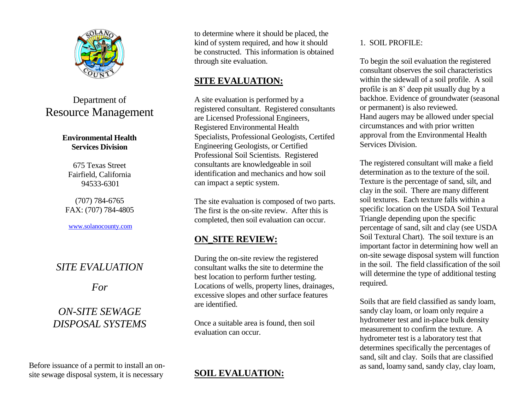

# Department of Resource Management

#### **Environmental Health Services Division**

675 Texas Street Fairfield, California 94533-6301

(707) 784-6765 FAX: (707) 784-4805

[www.solanocounty.com](http://www.solanocounty.com/)

## *SITE EVALUATION*

*For*

# *ON-SITE SEWAGE DISPOSAL SYSTEMS*

Before issuance of a permit to install an onsite sewage disposal system, it is necessary

to determine where it should be placed, the kind of system required, and how it should be constructed. This information is obtained through site evaluation.

### **SITE EVALUATION:**

A site evaluation is performed by a registered consultant. Registered consultants are Licensed Professional Engineers, Registered Environmental Health Specialists, Professional Geologists, Certifed Engineering Geologists, or Certified Professional Soil Scientists. Registered consultants are knowledgeable in soil identification and mechanics and how soil can impact a septic system.

The site evaluation is composed of two parts. The first is the on-site review. After this is completed, then soil evaluation can occur.

## **ON\_SITE REVIEW:**

During the on-site review the registered consultant walks the site to determine the best location to perform further testing. Locations of wells, property lines, drainages, excessive slopes and other surface features are identified.

Once a suitable area is found, then soil evaluation can occur.

## **SOIL EVALUATION:**

#### 1. SOIL PROFILE:

To begin the soil evaluation the registered consultant observes the soil characteristics within the sidewall of a soil profile. A soil profile is an 8' deep pit usually dug by a backhoe. Evidence of groundwater (seasonal or permanent) is also reviewed. Hand augers may be allowed under special circumstances and with prior written approval from the Environmental Health Services Division.

The registered consultant will make a field determination as to the texture of the soil. Texture is the percentage of sand, silt, and clay in the soil. There are many different soil textures. Each texture falls within a specific location on the USDA Soil Textural Triangle depending upon the specific percentage of sand, silt and clay (see USDA Soil Textural Chart). The soil texture is an important factor in determining how well an on-site sewage disposal system will function in the soil. The field classification of the soil will determine the type of additional testing required.

Soils that are field classified as sandy loam, sandy clay loam, or loam only require a hydrometer test and in-place bulk density measurement to confirm the texture. A hydrometer test is a laboratory test that determines specifically the percentages of sand, silt and clay. Soils that are classified as sand, loamy sand, sandy clay, clay loam,